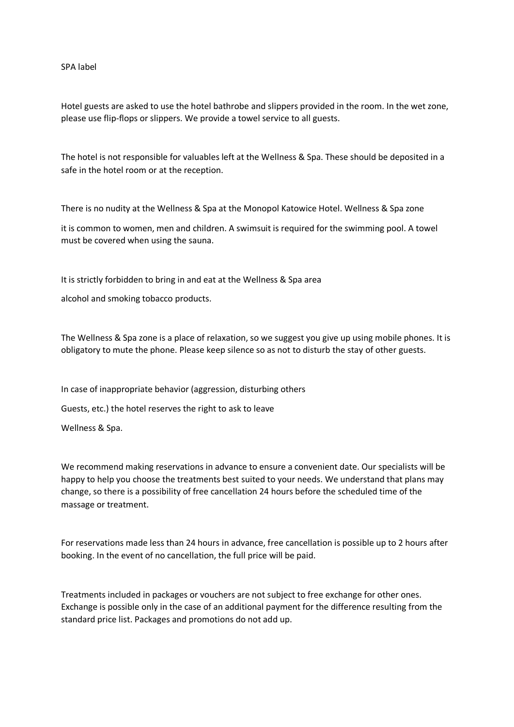SPA label

Hotel guests are asked to use the hotel bathrobe and slippers provided in the room. In the wet zone, please use flip-flops or slippers. We provide a towel service to all guests.

The hotel is not responsible for valuables left at the Wellness & Spa. These should be deposited in a safe in the hotel room or at the reception.

There is no nudity at the Wellness & Spa at the Monopol Katowice Hotel. Wellness & Spa zone

it is common to women, men and children. A swimsuit is required for the swimming pool. A towel must be covered when using the sauna.

It is strictly forbidden to bring in and eat at the Wellness & Spa area

alcohol and smoking tobacco products.

The Wellness & Spa zone is a place of relaxation, so we suggest you give up using mobile phones. It is obligatory to mute the phone. Please keep silence so as not to disturb the stay of other guests.

In case of inappropriate behavior (aggression, disturbing others

Guests, etc.) the hotel reserves the right to ask to leave

Wellness & Spa.

We recommend making reservations in advance to ensure a convenient date. Our specialists will be happy to help you choose the treatments best suited to your needs. We understand that plans may change, so there is a possibility of free cancellation 24 hours before the scheduled time of the massage or treatment.

For reservations made less than 24 hours in advance, free cancellation is possible up to 2 hours after booking. In the event of no cancellation, the full price will be paid.

Treatments included in packages or vouchers are not subject to free exchange for other ones. Exchange is possible only in the case of an additional payment for the difference resulting from the standard price list. Packages and promotions do not add up.